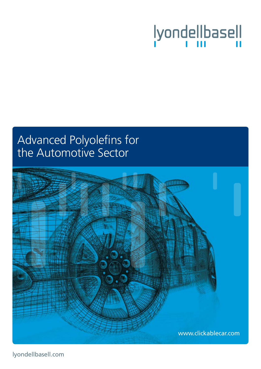# lyondellbasell

# Advanced Polyolefins for the Automotive Sector



lyondellbasell.com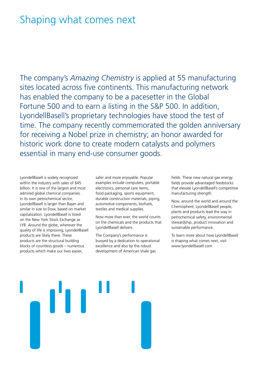# Shaping what comes next

The company's *Amazing Chemistry* is applied at 55 manufacturing sites located across five continents. This manufacturing network has enabled the company to be a pacesetter in the Global Fortune 500 and to earn a listing in the S&P 500. In addition, LyondellBasell's proprietary technologies have stood the test of time. The company recently commemorated the golden anniversary for receiving a Nobel prize in chemistry; an honor awarded for historic work done to create modern catalysts and polymers essential in many end-use consumer goods.

LyondellBasell is widely recognized within the industry with sales of \$45 billion. It is one of the largest and most admired global chemical companies. In its own petrochemical sector, LyondellBasell is larger than Bayer and similar in size to Dow, based on market capitalization. LyondellBasell is listed on the New York Stock Exchange as LYB. Around the globe, wherever the quality of life is improving, LyondellBasell products are likely there. These products are the structural building blocks of countless goods – numerous products which make our lives easier,

safer and more enjoyable. Popular examples include computers, portable electronics, personal care items, food packaging, sports equipment, durable construction materials, piping, automotive components, biofuels, textiles and medical supplies.

Now more than ever, the world counts on the chemicals and the products that LyondellBasell delivers.

The Company's performance is buoyed by a dedication to operational excellence and also by the robust development of American shale gas

fields. These new natural gas energy fields provide advantaged feedstocks that elevate LyondellBasell's competitive manufacturing strength.

Now, around the world and around the Chemisphere, LyondellBasell people, plants and products lead the way in petrochemical safety, environmental stewardship, product innovation and sustainable performance.

To learn more about how LyondellBasell is shaping what comes next, visit www.lyondellbasell.com

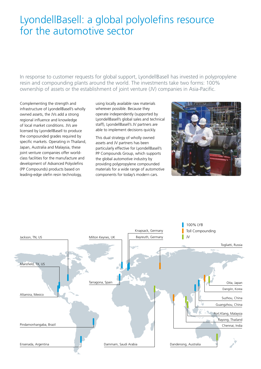# LyondellBasell: a global polyolefins resource for the automotive sector

In response to customer requests for global support, LyondellBasell has invested in polypropylene resin and compounding plants around the world. The investments take two forms: 100% ownership of assets or the establishment of joint venture (JV) companies in Asia-Pacific.

Complementing the strength and infrastructure of LyondellBasell's wholly owned assets, the JVs add a strong regional influence and knowledge of local market conditions. JVs are licensed by LyondellBasell to produce the compounded grades required by specific markets. Operating in Thailand, Japan, Australia and Malaysia, these joint venture companies offer worldclass facilities for the manufacture and development of Advanced Polyolefins (PP Compounds) products based on leading-edge olefin resin technology,

using locally available raw materials wherever possible. Because they operate independently (supported by LyondellBasell's global sales and technical staff), LyondellBasell's JV partners are able to implement decisions quickly.

This dual strategy of wholly owned assets and JV partners has been particularly effective for LyondellBasell's PP Compounds Group, which supports the global automotive industry by providing polypropylene compounded materials for a wide range of automotive components for today's modern cars.



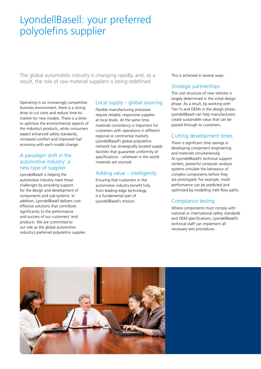# LyondellBasell: your preferred polyolefins supplier

The global automobile industry is changing rapidly, and, as a result, the role of raw material suppliers is being redefined.

Operating in an increasingly competitive business environment, there is a strong drive to cut costs and reduce time-tomarket for new models. There is a drive to optimize the environmental aspects of the industry's products, while consumers expect enhanced safety standards, increased comfort and improved fuel economy with each model change.

#### A paradigm shift in the automotive industry: a new type of supplier

LyondellBasell is helping the automotive industry meet these challenges by providing support for the design and development of components and sub-systems. In addition, LyondellBasell delivers costeffective solutions that contribute significantly to the performance and success of our customers' end products. We are committed to our role as the global automotive industry's preferred polyolefins supplier.

#### Local supply – global sourcing

Flexible manufacturing processes require reliable, responsive supplies at local levels. At the same time, materials consistency is important for customers with operations in different regional or continental markets. LyondellBasell's global polyolefins network has strategically located supply facilities that guarantee uniformity of specifications – wherever in the world materials are sourced.

#### Adding value – intelligently

Ensuring that customers in the automotive industry benefit fully from leading-edge technology is a fundamental part of LyondellBasell's mission.

This is achieved in several ways:

#### Strategic partnerships

The cost structure of new vehicles is largely determined in the initial design phase. As a result, by working with Tier-1s and OEMs in the design phase, LyondellBasell can help manufacturers create sustainable value that can be passed through to customers.

#### Cutting development times

There is significant time savings in developing component engineering and materials simultaneously. At LyondellBasell's technical support centers, powerful computer analysis systems simulate the behaviour of complex components before they are prototyped. For example, mold performance can be predicted and optimized by modelling melt flow paths.

#### Compliance testing

Where components must comply with national or international safety standards and OEM specifications, LyondellBasell's technical staff can implement all necessary test procedures.

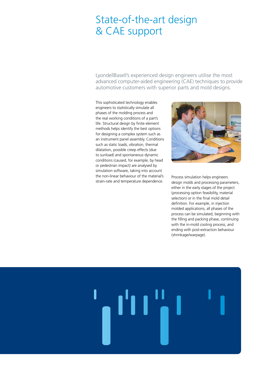# State-of-the-art design & CAE support

LyondellBasell's experienced design engineers utilise the most advanced computer-aided engineering (CAE) techniques to provide automotive customers with superior parts and mold designs.

This sophisticated technology enables engineers to statistically simulate all phases of the molding process and the real working conditions of a part's life. Structural design by finite element methods helps identify the best options for designing a complex system such as an instrument panel assembly. Conditions such as static loads, vibration, thermal dilatation, possible creep effects (due to sunload) and spontaneous dynamic conditions (caused, for example, by head or pedestrian impact) are analysed by simulation software, taking into account the non-linear behaviour of the material's strain-rate and temperature dependence.



Process simulation helps engineers design molds and processing parameters, either in the early stages of the project (processing option feasibility, material selection) or in the final mold detail definition. For example, in injection molded applications, all phases of the process can be simulated, beginning with the filling and packing phase, continuing with the in-mold cooling process, and ending with post-extraction behaviour (shrinkage/warpage).

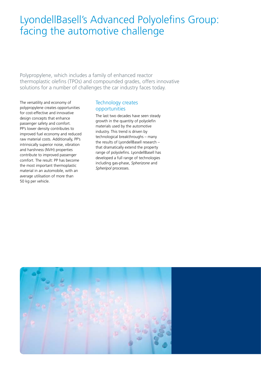# LyondellBasell's Advanced Polyolefins Group: facing the automotive challenge

Polypropylene, which includes a family of enhanced reactor thermoplastic olefins (TPOs) and compounded grades, offers innovative solutions for a number of challenges the car industry faces today.

The versatility and economy of polypropylene creates opportunities for cost-effective and innovative design concepts that enhance passenger safety and comfort. PP's lower density contributes to improved fuel economy and reduced raw material costs. Additionally, PP's intrinsically superior noise, vibration and harshness (NVH) properties contribute to improved passenger comfort. The result: PP has become the most important thermoplastic material in an automobile, with an average utilisation of more than 50 kg per vehicle.

#### Technology creates opportunities

The last two decades have seen steady growth in the quantity of polyolefin materials used by the automotive industry. This trend is driven by technological breakthroughs – many the results of LyondellBasell research – that dramatically extend the property range of polyolefins. LyondellBasell has developed a full range of technologies including gas-phase, *Spherizone* and *Spheripol* processes.

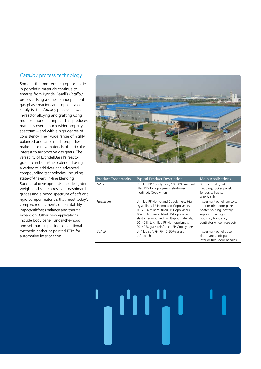#### *Catalloy* process technology

Some of the most exciting opportunities in polyolefin materials continue to emerge from LyondellBasell's *Catalloy* process. Using a series of independent gas-phase reactors and sophisticated catalysts, the *Catalloy* process allows in-reactor alloying and grafting using multiple monomer inputs. This produces materials over a much wider property spectrum – and with a high degree of consistency. Their wide range of highly balanced and tailor-made properties make these new materials of particular interest to automotive designers. The versatility of LyondellBasell's reactor grades can be further extended using a variety of additives and advanced compounding technologies, including state-of-the-art, in-line blending Successful developments include lighter weight and scratch resistant dashboard grades and a broad spectrum of soft and rigid bumper materials that meet today's complex requirements on paintability, impact/stiffness balance and thermal expansion. Other new applications include body panel, under-the-hood, and soft parts replacing conventional synthetic leather or painted ETPs for automotive interior trims.



| <b>Product Trademarks</b> | <b>Typical Product Description</b>                                                                                                                                                                                                                                                         | <b>Main Applications</b>                                                                                                                                        |
|---------------------------|--------------------------------------------------------------------------------------------------------------------------------------------------------------------------------------------------------------------------------------------------------------------------------------------|-----------------------------------------------------------------------------------------------------------------------------------------------------------------|
| Hifax                     | Unfilled PP-Copolymers; 10-30% mineral<br>filled PP-Homopolymers, elastomer<br>modified; Copolymers                                                                                                                                                                                        | Bumper, grille, side<br>cladding, rocker panel,<br>fender, tail-gate,<br>wire & cable                                                                           |
| Hostacom                  | Unfilled PP-Homo-and Copolymers; High<br>crystallinity PP-Homo-and Copolymers;<br>10-20% mineral filled PP-Copolymers;<br>10-30% mineral filled PP-Copolymers,<br>elastomer modified; Multispot materials;<br>20-40% talc filled PP-Homopolymers;<br>20-40% glass reinforced PP-Copolymers | Instrument panel, console,<br>interior trim, door panel,<br>heater housing, battery<br>support, headlight<br>housing, front end,<br>ventilator wheel, reservoir |
| Softell                   | Unfilled soft PP; PP 10-50% glass<br>soft touch                                                                                                                                                                                                                                            | Instrument panel upper,<br>door panel, soft pad,<br>interior trim, door handles                                                                                 |

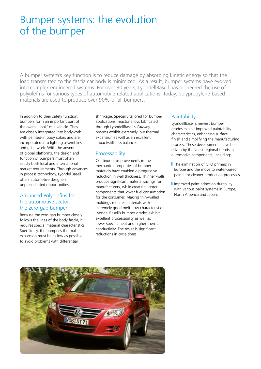# Bumper systems: the evolution of the bumper

A bumper system's key function is to reduce damage by absorbing kinetic energy so that the load transmitted to the fascia car body is minimized. As a result, bumper systems have evolved into complex engineered systems. For over 30 years, LyondellBasell has pioneered the use of polyolefins for various types of automobile-related applications. Today, polypropylene-based materials are used to produce over 90% of all bumpers.

In addition to their safety function, bumpers form an important part of the overall 'look' of a vehicle. They are closely integrated into bodywork with painted-in body colors and are incorporated into lighting assemblies and grille work. With the advent of global platforms, the design and function of bumpers must often satisfy both local and international market requirements. Through advances in process technology, LyondellBasell offers automotive designers unprecedented opportunities.

#### Advanced Polyolefins for the automotive sector: the zero-gap bumper

Because the zero-gap bumper closely follows the lines of the body fascia, it requires special material characteristics. Specifically, the bumper's thermal expansion must be as low as possible to avoid problems with differential

shrinkage. Specially tailored for bumper applications, reactor alloys fabricated through LyondellBasell's *Catalloy* process exhibit extremely low thermal expansion as well as an excellent impact/stiffness balance.

#### Processability

Continuous improvements in the mechanical properties of bumper materials have enabled a progressive reduction in wall thickness. Thinner walls produce significant material savings for manufacturers, while creating lighter components that lower fuel consumption for the consumer. Making thin-walled moldings requires materials with extremely good melt-flow characteristics. LyondellBasell's bumper grades exhibit excellent processability as well as lower specific heat and higher thermal conductivity. The result is significant reductions in cycle times.

#### **Paintability**

LyondellBasell's newest bumper grades exhibit improved paintability characteristics, enhancing surface finish and simplifying the manufacturing process. These developments have been driven by the latest regional trends in automotive components, including:

- The elimination of CPO primers in Europe and the move to water-based paints for cleaner production processes.
- I Improved paint adhesion durability with various paint systems in Europe, North America and Japan.

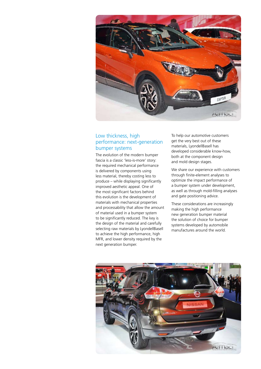

#### Low thickness, high performance: next-generation bumper systems

The evolution of the modern bumper fascia is a classic 'less-is-more' story: the required mechanical performance is delivered by components using less material, thereby costing less to produce – while displaying significantly improved aesthetic appeal. One of the most significant factors behind this evolution is the development of materials with mechanical properties and processability that allow the amount of material used in a bumper system to be significantly reduced. The key is the design of the material and carefully selecting raw materials by LyondellBasell to achieve the high performance, high MFR, and lower density required by the next generation bumper.

To help our automotive customers get the very best out of these materials, LyondellBasell has developed considerable know-how, both at the component design and mold design stages.

We share our experience with customers through finite-element analyses to optimize the impact performance of a bumper system under development, as well as through mold-filling analyses and gate positioning advice.

These considerations are increasingly making the high performance new generation bumper material the solution of choice for bumper systems developed by automobile manufactures around the world.

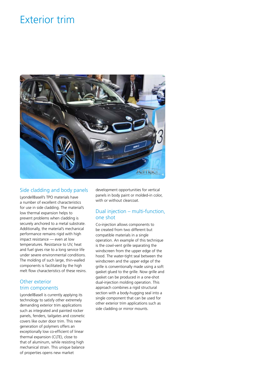# Exterior trim



#### Side cladding and body panels

LyondellBasell's TPO materials have a number of excellent characteristics for use in side cladding. The material's low thermal expansion helps to prevent problems when cladding is securely anchored to a metal substrate. Additionally, the material's mechanical performance remains rigid with high impact resistance — even at low temperatures. Resistance to UV, heat and fuel gives rise to a long service life under severe environmental conditions. The molding of such large, thin-walled components is facilitated by the high melt flow characteristics of these resins.

#### Other exterior trim components

LyondellBasell is currently applying its technology to satisfy other extremely demanding exterior trim applications such as integrated and painted rocker panels, fenders, tailgates and cosmetic covers like outer door trim. This new generation of polymers offers an exceptionally low co-efficient of linear thermal expansion (CLTE), close to that of aluminum, while resisting high mechanical strain. This unique balance of properties opens new market

development opportunities for vertical panels in body paint or molded-in color, with or without clearcoat.

#### Dual injection – multi-function, one shot

Co-injection allows components to be created from two different but compatible materials in a single operation. An example of this technique is the cowl-vent grille separating the windscreen from the upper edge of the hood. The water-tight seal between the windscreen and the upper edge of the grille is conventionally made using a soft gasket glued to the grille. Now grille and gasket can be produced in a one-shot dual-injection molding operation. This approach combines a rigid structural section with a body-hugging seal into a single component that can be used for other exterior trim applications such as side cladding or mirror mounts.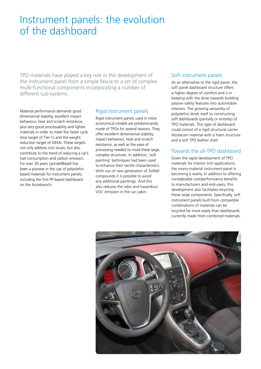## Instrument panels: the evolution of the dashboard

TPO materials have played a key role in the development of the instrument panel from a simple fascia to a set of complex multi-functional components incorporating a number of different sub-systems.

Material performance demands good dimensional stability, excellent impact behaviour, heat and scratch resistance, plus very good processability and lighter materials in order to meet the faster cycle time target of Tier-1s and the weight reduction target of OEMs. These targets not only address cost issues, but also contribute to the trend of reducing a car's fuel consumption and carbon emission. For over 30 years LyondellBasell has been a pioneer in the use of polyolefinbased materials for instrument panels, including the first PP-based dashboard on the Autobianchi.

#### Rigid instrument panels

Rigid instrument panels used in more economical models are predominantly made of TPOs for several reasons. They offer excellent dimensional stability, impact behaviour, heat and scratch resistance, as well as the ease of processing needed to mold these large, complex structures. In addition, 'soft painting' techniques had been used to enhance their tactile characteristics. With use of new generation of *Softell* compounds it is possible to avoid any additional paintings. And this also reduces the odor and hazardous VOC emission in the car cabin.

#### Soft instrument panels

As an alternative to the rigid panel, the soft panel dashboard structure offers a higher degree of comfort and is in keeping with the drive towards building passive safety features into automobile interiors. The growing versatility of polyolefins lends itself to constructing soft dashboards (partially or entirely) of TPO materials. This type of dashboard could consist of a rigid structural carrier *Hostacom* material with a foam structure and a soft TPO leather shell.

#### Towards the all-TPO dashboard

Given the rapid development of TPO materials for interior trim applications, the mono-material instrument panel is becoming a reality. In addition to offering considerable cost/performance benefits to manufacturers and end-users, this development also facilitates recycling these large components. Specifically, soft instrument panels built from compatible combinations of materials can be recycled far more easily than dashboards currently made from combined materials.

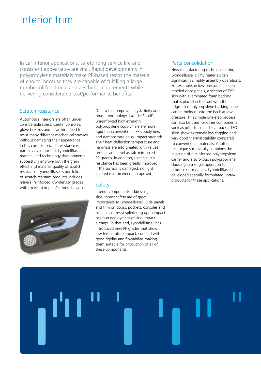# Interior trim

In car interior applications, safety, long service life and consistent appearance are vital. Rapid developments in polypropylene materials make PP-based resins the material of choice, because they are capable of fulfilling a large number of functional and aesthetic requirements while delivering considerable cost/performance benefits.

#### Scratch resistance

Automotive interiors are often under considerable stress. Center consoles, glove-box lids and pillar trim need to resist many different mechanical stresses without damaging their appearance. In this context, scratch resistance is particularly important. LyondellBasell's material and technology developments successfully improve both the grain effect and material quality of scratch resistance. LyondellBasell's portfolio of scratch-resistant products includes mineral reinforced low-density grades with excellent impact/stiffness balance.



Due to their improved crystallinity and phase morphology, LyondellBasell's unreinforced high-strength polypropylene copolymers are more rigid than conventional PP-copolymers and demonstrate equal impact strength. Their heat deflection temperature and hardness are also greater, with values on the same level as talc-reinforced PP grades. In addition, their scratch resistance has been greatly improved: if the surface is damaged, no light colored reinforcement is exposed.

#### **Safety**

Interior components addressing side-impact safety are of great importance to LyondellBasell. Side panels and trim on doors, pockets, consoles and pillars must resist splintering upon impact or upon deployment of side-impact airbags. To that end, LyondellBasell has introduced new PP grades that show low temperature impact, coupled with good rigidity and flowability, making them suitable for production of all of these components.

#### Parts consolidation

New manufacturing techniques using LyondellBasell's TPO materials can significantly simplify assembly operations. For example, in low-pressure injection molded door panels, a section of TPO skin with a laminated foam backing that is placed in the tool with the ridge-filled polypropylene backing panel can be molded onto the back at low pressure. This simple one-step process can also be used for other components such as pillar trims and seat backs. TPO skins show extremely low fogging and very good thermal stability compared to conventional materials. Another technique successfully combines the injection of a reinforced polypropylene carrier and a soft-touch polypropylene cladding in a single operation to produce door panels. LyondellBasell has developed specially formulated *Softell* products for these applications.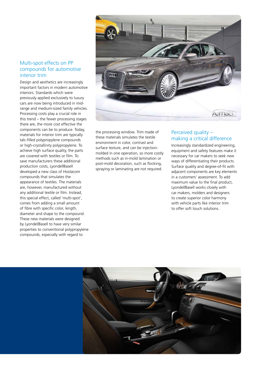#### Multi-spot effects on PP compounds for automotive interior trim

Design and aesthetics are increasingly important factors in modern automotive interiors. Standards which were previously applied exclusively to luxury cars are now being introduced in midrange and medium-sized family vehicles. Processing costs play a crucial role in this trend – the fewer processing stages there are, the more cost effective the components can be to produce. Today, materials for interior trim are typically talc-filled polypropylene compounds or high-crystallinity polypropylene. To achieve high surface quality, the parts are covered with textiles or film. To save manufacturers these additional production costs, LyondellBasell developed a new class of *Hostacom* compounds that simulates the appearance of textiles. The materials are, however, manufactured without any additional textile or film. Instead, this special effect, called 'multi-spot', comes from adding a small amount of fibre with specific color, length, diameter and shape to the compound. These new materials were designed by LyondellBasell to have very similar properties to conventional polypropylene compounds, especially with regard to



the processing window. Trim made of these materials simulates the textile environment in color, contrast and surface texture, and can be injectionmolded in one operation, so more costly methods such as in-mold lamination or post-mold decoration, such as flocking, spraying or laminating are not required.

#### Perceived quality – making a critical difference

Increasingly standardized engineering, equipment and safety features make it necessary for car makers to seek new ways of differentiating their products. Surface quality and degree-of-fit with adjacent components are key elements in a customers' assessment. To add maximum value to the final product, LyondellBasell works closely with car makers, molders and designers to create superior color harmony with vehicle parts like interior trim to offer soft touch solutions.

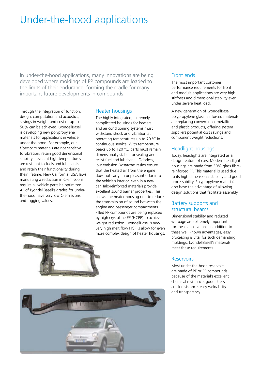# Under-the-hood applications

In under-the-hood applications, many innovations are being developed where moldings of PP compounds are loaded to the limits of their endurance, forming the cradle for many important future developments in compounds.

Through the integration of function, design, computation and acoustics, savings in weight and cost of up to 50% can be achieved. LyondellBasell is developing new polypropylene materials for applications in vehicle under-the-hood. For example, our *Hostacom* materials are not sensitive to vibration, retain good dimensional stability – even at high temperatures – are resistant to fuels and lubricants, and retain their functionality during their lifetime. New California, USA laws mandating a reduction in C-emissions require all vehicle parts be optimized. All of LyondellBasell's grades for underthe-hood have very low C-emissions and fogging values.

#### Heater housings

The highly integrated, extremely complicated housings for heaters and air conditioning systems must withstand shock and vibration at operating temperatures up to 70 ºC in continuous service. With temperature peaks up to 120 ºC, parts must remain dimensionally stable for sealing and resist fuel and lubricants. Odorless, low emission *Hostacom* resins ensure that the heated air from the engine does not carry an unpleasant odor into the vehicle's interior, even in a new car. Talc-reinforced materials provide excellent sound barrier properties. This allows the heater housing unit to reduce the transmission of sound between the engine and passenger compartments. Filled PP compounds are being replaced by high crystalline PP (HCPP) to achieve weight reduction. LyondellBasell's new very high melt flow HCPPs allow for even more complex design of heater housings.





#### Front ends

The most important customer performance requirements for front end module applications are very high stiffness and dimensional stability even under severe heat load.

A new generation of LyondellBasell polypropylene glass reinforced materials are replacing conventional metallic and plastic products, offering system suppliers potential cost savings and component weight reductions.

#### Headlight housings

Today, headlights are integrated as a design feature of cars. Modern headlight housings are made from 30% glass fibrereinforced PP. This material is used due to its high dimensional stability and good processability. Polypropylene materials also have the advantage of allowing design solutions that facilitate assembly.

#### Battery supports and structural beams

Dimensional stability and reduced warpage are extremely important for these applications. In addition to these well known advantages, easy processing is vital for such demanding moldings. LyondellBasell's materials meet these requirements.

#### Reservoirs

Most under-the-hood reservoirs are made of PE or PP compounds because of the material's excellent chemical resistance, good stresscrack resistance, easy weldability and transparency.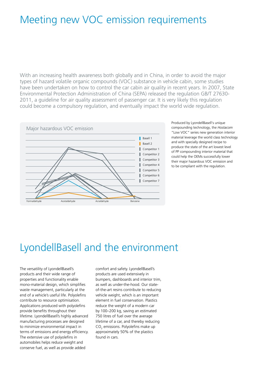## Meeting new VOC emission requirements

With an increasing health awareness both globally and in China, in order to avoid the major types of hazard volatile organic compounds (VOC) substance in vehicle cabin, some studies have been undertaken on how to control the car cabin air quality in recent years. In 2007, State Environmental Protection Administration of China (SEPA) released the regulation GB/T 27630- 2011, a guideline for air quality assessment of passenger car. It is very likely this regulation could become a compulsory regulation, and eventually impact the world wide regulation.



Produced by LyondellBasell's unique compounding technology, the *Hostacom* "Low VOC" series new generation interior material leverage the world class technology and with specially designed recipe to produce the state of the art lowest level of PP compounding interior material that could help the OEMs successfully lower their major hazardous VOC emission and to be compliant with the regulation.

# LyondellBasell and the environment

The versatility of LyondellBasell's products and their wide range of properties and functionality enable mono-material design, which simplifies waste management, particularly at the end of a vehicle's useful life. Polyolefins contribute to resource optimisation. Applications produced with polyolefins provide benefits throughout their lifetime. LyondellBasell's highly advanced manufacturing processes are designed to minimize environmental impact in terms of emissions and energy efficiency. The extensive use of polyolefins in automobiles helps reduce weight and conserve fuel, as well as provide added

comfort and safety. LyondellBasell's products are used extensively in bumpers, dashboards and interior trim, as well as under-the-hood. Our stateof-the-art resins contribute to reducing vehicle weight, which is an important element in fuel conservation. Plastics reduce the weight of a modern car by 100–200 kg, saving an estimated 750 litres of fuel over the average lifetime of a car, and thereby reducing  $CO<sub>2</sub>$  emissions. Polyolefins make up approximately 50% of the plastics found in cars.